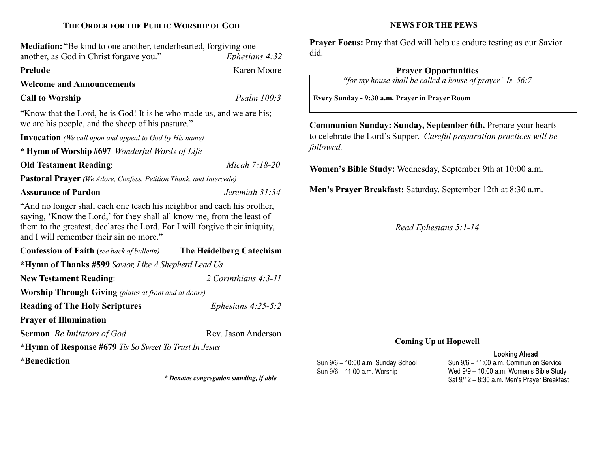# THE ORDER FOR THE PUBLIC WORSHIP OF GOD

Mediation: "Be kind to one another, tenderhearted, forgiving one another, as God in Christ forgave you." Ephesians 4:32

Prelude Karen Moore

Welcome and Announcements

Call to Worship Psalm 100:3

"Know that the Lord, he is God! It is he who made us, and we are his; we are his people, and the sheep of his pasture."

Invocation (We call upon and appeal to God by His name)

\* Hymn of Worship #697 Wonderful Words of Life

Old Testament Reading: Micah 7:18-20

Pastoral Prayer (We Adore, Confess, Petition Thank, and Intercede)

## Assurance of Pardon de Contract in the Second Jeremiah 31:34

"And no longer shall each one teach his neighbor and each his brother, saying, 'Know the Lord,' for they shall all know me, from the least of them to the greatest, declares the Lord. For I will forgive their iniquity, and I will remember their sin no more."

| <b>Confession of Faith</b> (see back of bulletin)            | The Heidelberg Catechism |  |  |  |
|--------------------------------------------------------------|--------------------------|--|--|--|
| *Hymn of Thanks #599 Savior, Like A Shepherd Lead Us         |                          |  |  |  |
| <b>New Testament Reading:</b>                                | 2 Corinthians 4:3-11     |  |  |  |
| <b>Worship Through Giving</b> (plates at front and at doors) |                          |  |  |  |
| <b>Reading of The Holy Scriptures</b>                        | Ephesians $4:25-5:2$     |  |  |  |
| <b>Prayer of Illumination</b>                                |                          |  |  |  |
| <b>Sermon</b> <i>Be Imitators of God</i>                     | Rev. Jason Anderson      |  |  |  |
| *Hymn of Response #679 Tis So Sweet To Trust In Jesus        |                          |  |  |  |
| *Benediction                                                 |                          |  |  |  |

\* Denotes congregation standing, if able

#### NEWS FOR THE PEWS

Prayer Focus: Pray that God will help us endure testing as our Savior did.

# Prayer Opportunities

"for my house shall be called a house of prayer" Is. 56:7

Every Sunday - 9:30 a.m. Prayer in Prayer Room

Communion Sunday: Sunday, September 6th. Prepare your hearts to celebrate the Lord's Supper. Careful preparation practices will be followed.

Women's Bible Study: Wednesday, September 9th at 10:00 a.m.

Men's Prayer Breakfast: Saturday, September 12th at 8:30 a.m.

Read Ephesians 5:1-14

### Coming Up at Hopewell

#### Looking Ahead

Sun 9/6 – 10:00 a.m. Sunday School Sun 9/6 – 11:00 a.m. Worship

Sun 9/6 – 11:00 a.m. Communion Service Wed 9/9 – 10:00 a.m. Women's Bible Study Sat 9/12 – 8:30 a.m. Men's Prayer Breakfast